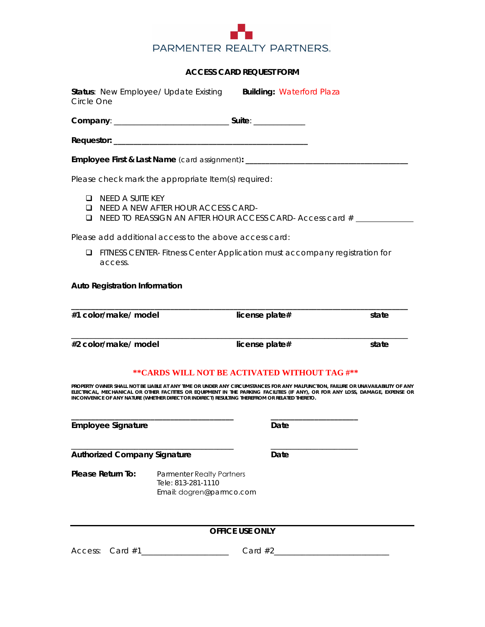

## **ACCESS CARD REQUEST FORM**

| Circle One                                                                                                                                                                                                                                                                                                                                                                                                            |                                                                                                                                    | Status: New Employee/ Update Existing                                              | <b>Building: Waterford Plaza</b> |       |  |
|-----------------------------------------------------------------------------------------------------------------------------------------------------------------------------------------------------------------------------------------------------------------------------------------------------------------------------------------------------------------------------------------------------------------------|------------------------------------------------------------------------------------------------------------------------------------|------------------------------------------------------------------------------------|----------------------------------|-------|--|
|                                                                                                                                                                                                                                                                                                                                                                                                                       |                                                                                                                                    |                                                                                    |                                  |       |  |
|                                                                                                                                                                                                                                                                                                                                                                                                                       |                                                                                                                                    |                                                                                    |                                  |       |  |
|                                                                                                                                                                                                                                                                                                                                                                                                                       |                                                                                                                                    | Employee First & Last Name (card assignment): ____________                         |                                  |       |  |
| Please check mark the appropriate Item(s) required:                                                                                                                                                                                                                                                                                                                                                                   |                                                                                                                                    |                                                                                    |                                  |       |  |
| □                                                                                                                                                                                                                                                                                                                                                                                                                     | need a suite key<br><b>Q</b> NEED A NEW AFTER HOUR ACCESS CARD-<br>$\Box$ NEED TO REASSIGN AN AFTER HOUR ACCESS CARD-Access card # |                                                                                    |                                  |       |  |
|                                                                                                                                                                                                                                                                                                                                                                                                                       |                                                                                                                                    | Please add additional access to the above access card:                             |                                  |       |  |
| ⊔                                                                                                                                                                                                                                                                                                                                                                                                                     | FITNESS CENTER- Fitness Center Application must accompany registration for<br>access.                                              |                                                                                    |                                  |       |  |
|                                                                                                                                                                                                                                                                                                                                                                                                                       | <b>Auto Registration Information</b>                                                                                               |                                                                                    |                                  |       |  |
|                                                                                                                                                                                                                                                                                                                                                                                                                       | #1 color/make/ model                                                                                                               |                                                                                    | license plate#                   | state |  |
| #2 color/make/ model                                                                                                                                                                                                                                                                                                                                                                                                  |                                                                                                                                    |                                                                                    | license plate#                   | state |  |
| ** CARDS WILL NOT BE ACTIVATED WITHOUT TAG #**<br>PROPERTY OWNER SHALL NOT BE LIABLE AT ANY TIME OR UNDER ANY CIRCUMSTANCES FOR ANY MALFUNCTION, FAILURE OR UNAVAILABILITY OF ANY<br>ELECTRICAL, MECHANICAL OR OTHER FACITITES OR EQUIPMENT IN THE PARKING FACILITIES (IF ANY), OR FOR ANY LOSS, DAMAGE, EXPENSE OR<br>INCONVENICE OF ANY NATURE (WHETHER DIRECT OR INDIRECT) RESULTING THEREFROM OR RELATED THERETO. |                                                                                                                                    |                                                                                    |                                  |       |  |
| <b>Employee Signature</b>                                                                                                                                                                                                                                                                                                                                                                                             |                                                                                                                                    |                                                                                    | Date                             |       |  |
| <b>Authorized Company Signature</b>                                                                                                                                                                                                                                                                                                                                                                                   |                                                                                                                                    |                                                                                    | Date                             |       |  |
|                                                                                                                                                                                                                                                                                                                                                                                                                       | <b>Please Return To:</b>                                                                                                           | <b>Parmenter Realty Partners</b><br>Tele: 813-281-1110<br>Email: dogren@parmco.com |                                  |       |  |
|                                                                                                                                                                                                                                                                                                                                                                                                                       |                                                                                                                                    |                                                                                    | <b>OFFICE USE ONLY</b>           |       |  |
|                                                                                                                                                                                                                                                                                                                                                                                                                       |                                                                                                                                    |                                                                                    |                                  |       |  |